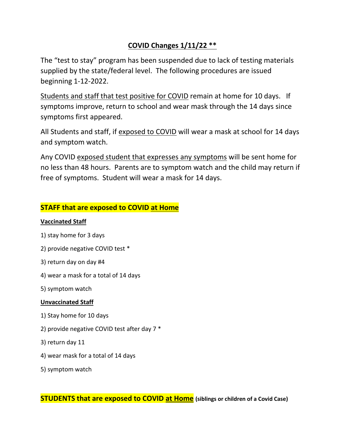# **COVID Changes 1/11/22 \*\***

The "test to stay" program has been suspended due to lack of testing materials supplied by the state/federal level. The following procedures are issued beginning 1-12-2022.

Students and staff that test positive for COVID remain at home for 10 days. If symptoms improve, return to school and wear mask through the 14 days since symptoms first appeared.

All Students and staff, if exposed to COVID will wear a mask at school for 14 days and symptom watch.

Any COVID exposed student that expresses any symptoms will be sent home for no less than 48 hours. Parents are to symptom watch and the child may return if free of symptoms. Student will wear a mask for 14 days.

# **STAFF that are exposed to COVID at Home**

#### **Vaccinated Staff**

- 1) stay home for 3 days
- 2) provide negative COVID test \*
- 3) return day on day #4
- 4) wear a mask for a total of 14 days
- 5) symptom watch

#### **Unvaccinated Staff**

- 1) Stay home for 10 days
- 2) provide negative COVID test after day 7 \*
- 3) return day 11
- 4) wear mask for a total of 14 days
- 5) symptom watch

**STUDENTS that are exposed to COVID at Home (siblings or children of a Covid Case)**